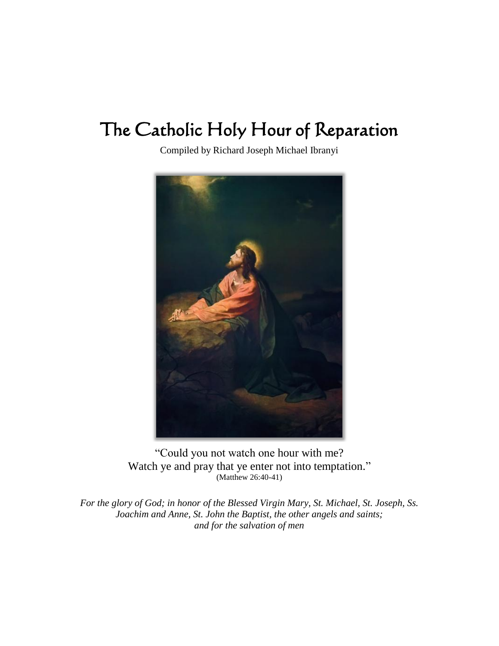# The Catholic Holy Hour of Reparation

Compiled by Richard Joseph Michael Ibranyi



"Could you not watch one hour with me? Watch ye and pray that ye enter not into temptation." (Matthew 26:40-41)

*For the glory of God; in honor of the Blessed Virgin Mary, St. Michael, St. Joseph, Ss. Joachim and Anne, St. John the Baptist, the other angels and saints; and for the salvation of men*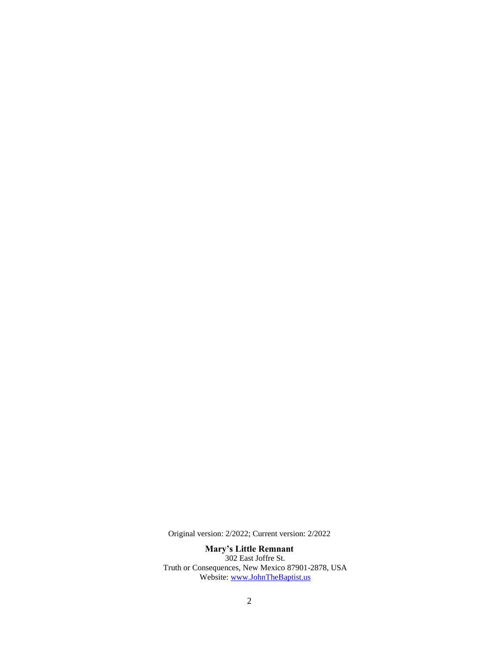Original version: 2/2022; Current version: 2/2022

**Mary's Little Remnant** 302 East Joffre St. Truth or Consequences, New Mexico 87901-2878, USA Website: [www.JohnTheBaptist.us](http://www.johnthebaptist.us/)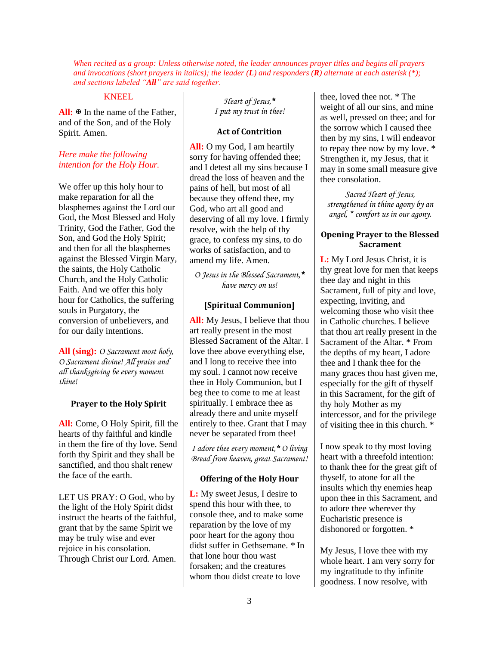*When recited as a group: Unless otherwise noted, the leader announces prayer titles and begins all prayers and invocations (short prayers in italics); the leader (L) and responders (R) alternate at each asterisk (\*); and sections labeled "All" are said together.*

#### KNEEL

All:  $\overline{\Phi}$  In the name of the Father, and of the Son, and of the Holy Spirit. Amen.

## *Here make the following intention for the Holy Hour.*

We offer up this holy hour to make reparation for all the blasphemes against the Lord our God, the Most Blessed and Holy Trinity, God the Father, God the Son, and God the Holy Spirit; and then for all the blasphemes against the Blessed Virgin Mary, the saints, the Holy Catholic Church, and the Holy Catholic Faith. And we offer this holy hour for Catholics, the suffering souls in Purgatory, the conversion of unbelievers, and for our daily intentions.

**All (sing):** *O Sacrament most holy, O Sacrament divine! All praise and all thanksgiving be every moment thine!*

## **Prayer to the Holy Spirit**

**All:** Come, O Holy Spirit, fill the hearts of thy faithful and kindle in them the fire of thy love. Send forth thy Spirit and they shall be sanctified, and thou shalt renew the face of the earth.

LET US PRAY: O God, who by the light of the Holy Spirit didst instruct the hearts of the faithful, grant that by the same Spirit we may be truly wise and ever rejoice in his consolation. Through Christ our Lord. Amen.

*Heart of Jesus,\* I put my trust in thee!*

## **Act of Contrition**

**All:** O my God, I am heartily sorry for having offended thee; and I detest all my sins because I dread the loss of heaven and the pains of hell, but most of all because they offend thee, my God, who art all good and deserving of all my love. I firmly resolve, with the help of thy grace, to confess my sins, to do works of satisfaction, and to amend my life. Amen.

*O Jesus in the Blessed Sacrament,\* have mercy on us!*

## **[Spiritual Communion]**

**All:** My Jesus, I believe that thou art really present in the most Blessed Sacrament of the Altar. I love thee above everything else, and I long to receive thee into my soul. I cannot now receive thee in Holy Communion, but I beg thee to come to me at least spiritually. I embrace thee as already there and unite myself entirely to thee. Grant that I may never be separated from thee!

*I adore thee every moment,\* O living Bread from heaven, great Sacrament!*

## **Offering of the Holy Hour**

**L:** My sweet Jesus, I desire to spend this hour with thee, to console thee, and to make some reparation by the love of my poor heart for the agony thou didst suffer in Gethsemane. *\** In that lone hour thou wast forsaken; and the creatures whom thou didst create to love

thee, loved thee not. \* The weight of all our sins, and mine as well, pressed on thee; and for the sorrow which I caused thee then by my sins, I will endeavor to repay thee now by my love. \* Strengthen it, my Jesus, that it may in some small measure give thee consolation.

*Sacred Heart of Jesus, strengthened in thine agony by an angel, \* comfort us in our agony.*

## **Opening Prayer to the Blessed Sacrament**

**L:** My Lord Jesus Christ, it is thy great love for men that keeps thee day and night in this Sacrament, full of pity and love, expecting, inviting, and welcoming those who visit thee in Catholic churches. I believe that thou art really present in the Sacrament of the Altar. \* From the depths of my heart, I adore thee and I thank thee for the many graces thou hast given me, especially for the gift of thyself in this Sacrament, for the gift of thy holy Mother as my intercessor, and for the privilege of visiting thee in this church. \*

I now speak to thy most loving heart with a threefold intention: to thank thee for the great gift of thyself, to atone for all the insults which thy enemies heap upon thee in this Sacrament, and to adore thee wherever thy Eucharistic presence is dishonored or forgotten. \*

My Jesus, I love thee with my whole heart. I am very sorry for my ingratitude to thy infinite goodness. I now resolve, with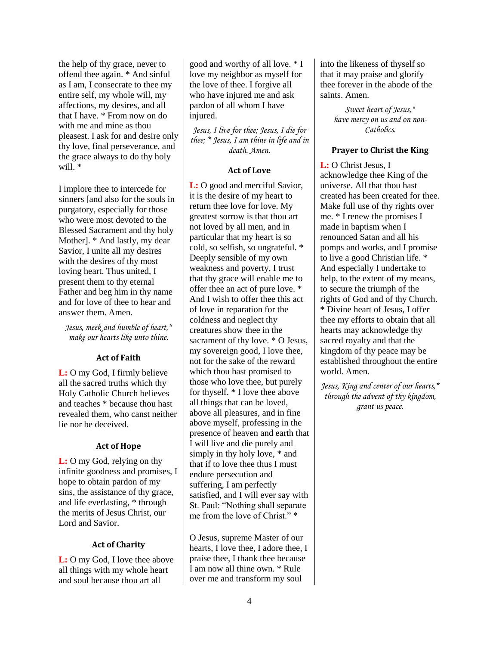the help of thy grace, never to offend thee again. \* And sinful as I am, I consecrate to thee my entire self, my whole will, my affections, my desires, and all that I have. \* From now on do with me and mine as thou pleasest. I ask for and desire only thy love, final perseverance, and the grace always to do thy holy will. \*

I implore thee to intercede for sinners [and also for the souls in purgatory, especially for those who were most devoted to the Blessed Sacrament and thy holy Mother]. \* And lastly, my dear Savior, I unite all my desires with the desires of thy most loving heart. Thus united, I present them to thy eternal Father and beg him in thy name and for love of thee to hear and answer them. Amen.

*Jesus, meek and humble of heart,\* make our hearts like unto thine.* 

## **Act of Faith**

**L:** O my God, I firmly believe all the sacred truths which thy Holy Catholic Church believes and teaches \* because thou hast revealed them, who canst neither lie nor be deceived.

## **Act of Hope**

**L:** O my God, relying on thy infinite goodness and promises, I hope to obtain pardon of my sins, the assistance of thy grace, and life everlasting, \* through the merits of Jesus Christ, our Lord and Savior.

## **Act of Charity**

**L:** O my God, I love thee above all things with my whole heart and soul because thou art all

good and worthy of all love. \* I love my neighbor as myself for the love of thee. I forgive all who have injured me and ask pardon of all whom I have injured.

*Jesus, I live for thee; Jesus, I die for thee; \* Jesus, I am thine in life and in death. Amen.* 

## **Act of Love**

**L:** O good and merciful Savior, it is the desire of my heart to return thee love for love. My greatest sorrow is that thou art not loved by all men, and in particular that my heart is so cold, so selfish, so ungrateful. \* Deeply sensible of my own weakness and poverty, I trust that thy grace will enable me to offer thee an act of pure love. \* And I wish to offer thee this act of love in reparation for the coldness and neglect thy creatures show thee in the sacrament of thy love. \* O Jesus, my sovereign good, I love thee, not for the sake of the reward which thou hast promised to those who love thee, but purely for thyself. \* I love thee above all things that can be loved, above all pleasures, and in fine above myself, professing in the presence of heaven and earth that I will live and die purely and simply in thy holy love, \* and that if to love thee thus I must endure persecution and suffering, I am perfectly satisfied, and I will ever say with St. Paul: "Nothing shall separate me from the love of Christ." \*

O Jesus, supreme Master of our hearts, I love thee, I adore thee, I praise thee, I thank thee because I am now all thine own. \* Rule over me and transform my soul

into the likeness of thyself so that it may praise and glorify thee forever in the abode of the saints. Amen.

> *Sweet heart of Jesus,\* have mercy on us and on non-Catholics.*

## **Prayer to Christ the King**

**L:** O Christ Jesus, I acknowledge thee King of the universe. All that thou hast created has been created for thee. Make full use of thy rights over me. \* I renew the promises I made in baptism when I renounced Satan and all his pomps and works, and I promise to live a good Christian life. \* And especially I undertake to help, to the extent of my means, to secure the triumph of the rights of God and of thy Church. \* Divine heart of Jesus, I offer thee my efforts to obtain that all hearts may acknowledge thy sacred royalty and that the kingdom of thy peace may be established throughout the entire world. Amen.

*Jesus, King and center of our hearts,\* through the advent of thy kingdom, grant us peace.*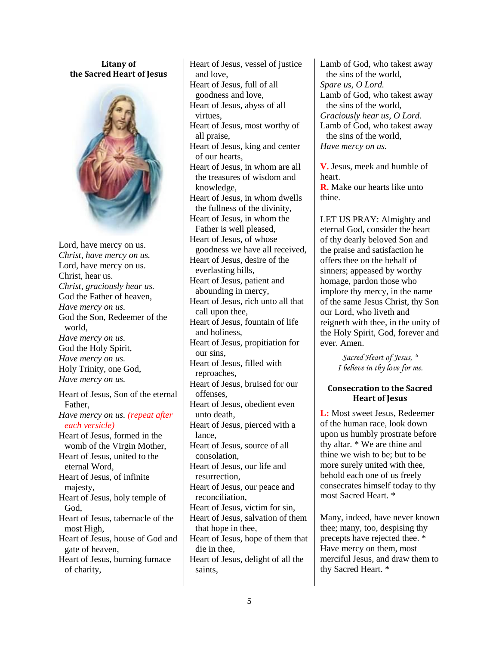## **Litany of the Sacred Heart of Jesus**



Lord, have mercy on us. *Christ, have mercy on us.* Lord, have mercy on us. Christ, hear us. *Christ, graciously hear us.* God the Father of heaven, *Have mercy on us.* God the Son, Redeemer of the world, *Have mercy on us.* God the Holy Spirit, *Have mercy on us.* Holy Trinity, one God, *Have mercy on us.* Heart of Jesus, Son of the eternal Father, *Have mercy on us. (repeat after each versicle)* Heart of Jesus, formed in the womb of the Virgin Mother, Heart of Jesus, united to the eternal Word, Heart of Jesus, of infinite majesty, Heart of Jesus, holy temple of God, Heart of Jesus, tabernacle of the most High, Heart of Jesus, house of God and gate of heaven, Heart of Jesus, burning furnace of charity,

Heart of Jesus, vessel of justice and love, Heart of Jesus, full of all goodness and love, Heart of Jesus, abyss of all virtues, Heart of Jesus, most worthy of all praise, Heart of Jesus, king and center of our hearts, Heart of Jesus, in whom are all the treasures of wisdom and knowledge, Heart of Jesus, in whom dwells the fullness of the divinity, Heart of Jesus, in whom the Father is well pleased, Heart of Jesus, of whose goodness we have all received, Heart of Jesus, desire of the everlasting hills, Heart of Jesus, patient and abounding in mercy, Heart of Jesus, rich unto all that call upon thee, Heart of Jesus, fountain of life and holiness, Heart of Jesus, propitiation for our sins, Heart of Jesus, filled with reproaches, Heart of Jesus, bruised for our offenses, Heart of Jesus, obedient even unto death, Heart of Jesus, pierced with a lance, Heart of Jesus, source of all consolation, Heart of Jesus, our life and resurrection, Heart of Jesus, our peace and reconciliation, Heart of Jesus, victim for sin, Heart of Jesus, salvation of them that hope in thee, Heart of Jesus, hope of them that die in thee, Heart of Jesus, delight of all the saints,

Lamb of God, who takest away the sins of the world, *Spare us, O Lord.* Lamb of God, who takest away the sins of the world, *Graciously hear us, O Lord.* Lamb of God, who takest away the sins of the world, *Have mercy on us.*

**V.** Jesus, meek and humble of heart.

**R.** Make our hearts like unto thine.

LET US PRAY: Almighty and eternal God, consider the heart of thy dearly beloved Son and the praise and satisfaction he offers thee on the behalf of sinners; appeased by worthy homage, pardon those who implore thy mercy, in the name of the same Jesus Christ, thy Son our Lord, who liveth and reigneth with thee, in the unity of the Holy Spirit, God, forever and ever. Amen.

> *Sacred Heart of Jesus, \* I believe in thy love for me.*

## **Consecration to the Sacred Heart of Jesus**

**L:** Most sweet Jesus, Redeemer of the human race, look down upon us humbly prostrate before thy altar. \* We are thine and thine we wish to be; but to be more surely united with thee, behold each one of us freely consecrates himself today to thy most Sacred Heart. \*

Many, indeed, have never known thee; many, too, despising thy precepts have rejected thee. \* Have mercy on them, most merciful Jesus, and draw them to thy Sacred Heart. \*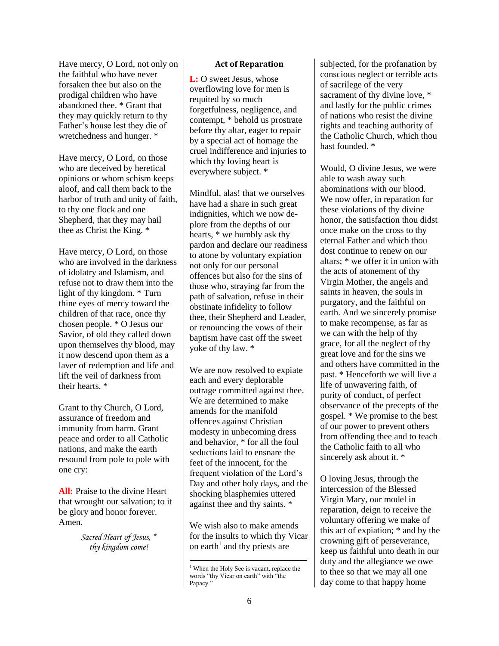Have mercy, O Lord, not only on the faithful who have never forsaken thee but also on the prodigal children who have abandoned thee. \* Grant that they may quickly return to thy Father's house lest they die of wretchedness and hunger. \*

Have mercy, O Lord, on those who are deceived by heretical opinions or whom schism keeps aloof, and call them back to the harbor of truth and unity of faith, to thy one flock and one Shepherd, that they may hail thee as Christ the King. \*

Have mercy, O Lord, on those who are involved in the darkness of idolatry and Islamism, and refuse not to draw them into the light of thy kingdom. \* Turn thine eyes of mercy toward the children of that race, once thy chosen people. \* O Jesus our Savior, of old they called down upon themselves thy blood, may it now descend upon them as a laver of redemption and life and lift the veil of darkness from their hearts. \*

Grant to thy Church, O Lord, assurance of freedom and immunity from harm. Grant peace and order to all Catholic nations, and make the earth resound from pole to pole with one cry:

**All:** Praise to the divine Heart that wrought our salvation; to it be glory and honor forever. Amen.

> *Sacred Heart of Jesus, \* thy kingdom come!*

## **Act of Reparation**

**L:** O sweet Jesus, whose overflowing love for men is requited by so much forgetfulness, negligence, and contempt, \* behold us prostrate before thy altar, eager to repair by a special act of homage the cruel indifference and injuries to which thy loving heart is everywhere subject. \*

Mindful, alas! that we ourselves have had a share in such great indignities, which we now deplore from the depths of our hearts, \* we humbly ask thy pardon and declare our readiness to atone by voluntary expiation not only for our personal offences but also for the sins of those who, straying far from the path of salvation, refuse in their obstinate infidelity to follow thee, their Shepherd and Leader, or renouncing the vows of their baptism have cast off the sweet yoke of thy law. \*

We are now resolved to expiate each and every deplorable outrage committed against thee. We are determined to make amends for the manifold offences against Christian modesty in unbecoming dress and behavior, \* for all the foul seductions laid to ensnare the feet of the innocent, for the frequent violation of the Lord's Day and other holy days, and the shocking blasphemies uttered against thee and thy saints. \*

We wish also to make amends for the insults to which thy Vicar on earth<sup>1</sup> and thy priests are

subjected, for the profanation by conscious neglect or terrible acts of sacrilege of the very sacrament of thy divine love, \* and lastly for the public crimes of nations who resist the divine rights and teaching authority of the Catholic Church, which thou hast founded. \*

Would, O divine Jesus, we were able to wash away such abominations with our blood. We now offer, in reparation for these violations of thy divine honor, the satisfaction thou didst once make on the cross to thy eternal Father and which thou dost continue to renew on our altars; \* we offer it in union with the acts of atonement of thy Virgin Mother, the angels and saints in heaven, the souls in purgatory, and the faithful on earth. And we sincerely promise to make recompense, as far as we can with the help of thy grace, for all the neglect of thy great love and for the sins we and others have committed in the past. \* Henceforth we will live a life of unwavering faith, of purity of conduct, of perfect observance of the precepts of the gospel. \* We promise to the best of our power to prevent others from offending thee and to teach the Catholic faith to all who sincerely ask about it. \*

O loving Jesus, through the intercession of the Blessed Virgin Mary, our model in reparation, deign to receive the voluntary offering we make of this act of expiation; \* and by the crowning gift of perseverance, keep us faithful unto death in our duty and the allegiance we owe to thee so that we may all one day come to that happy home

l <sup>1</sup> When the Holy See is vacant, replace the words "thy Vicar on earth" with "the Papacy."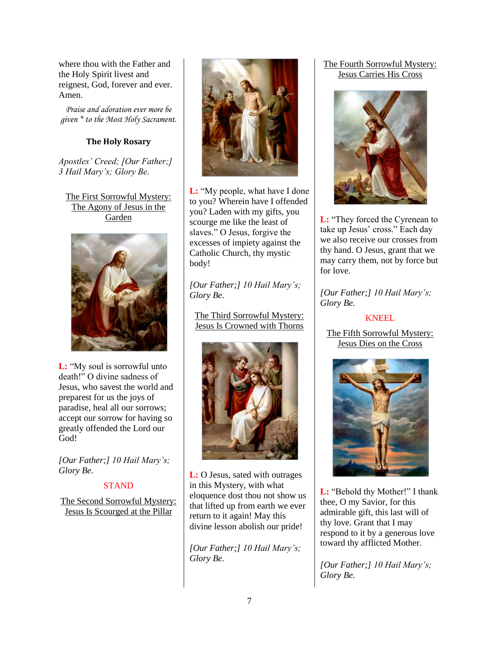where thou with the Father and the Holy Spirit livest and reignest, God, forever and ever. Amen.

*Praise and adoration ever more be given \* to the Most Holy Sacrament.* 

## **The Holy Rosary**

*Apostles' Creed; [Our Father;] 3 Hail Mary's; Glory Be.* 

The First Sorrowful Mystery: The Agony of Jesus in the Garden



**L:** "My soul is sorrowful unto death!" O divine sadness of Jesus, who savest the world and preparest for us the joys of paradise, heal all our sorrows; accept our sorrow for having so greatly offended the Lord our God!

*[Our Father;] 10 Hail Mary's; Glory Be.* 

## **STAND**

The Second Sorrowful Mystery: Jesus Is Scourged at the Pillar



**L:** "My people, what have I done to you? Wherein have I offended you? Laden with my gifts, you scourge me like the least of slaves." O Jesus, forgive the excesses of impiety against the Catholic Church, thy mystic body!

*[Our Father;] 10 Hail Mary's; Glory Be.* 

The Third Sorrowful Mystery: Jesus Is Crowned with Thorns



**L:** O Jesus, sated with outrages in this Mystery, with what eloquence dost thou not show us that lifted up from earth we ever return to it again! May this divine lesson abolish our pride!

*[Our Father;] 10 Hail Mary's; Glory Be.* 

## The Fourth Sorrowful Mystery: Jesus Carries His Cross



**L:** "They forced the Cyrenean to take up Jesus' cross." Each day we also receive our crosses from thy hand. O Jesus, grant that we may carry them, not by force but for love.

*[Our Father;] 10 Hail Mary's; Glory Be.* 

## KNEEL

The Fifth Sorrowful Mystery: Jesus Dies on the Cross



**L:** "Behold thy Mother!" I thank thee, O my Savior, for this admirable gift, this last will of thy love. Grant that I may respond to it by a generous love toward thy afflicted Mother.

*[Our Father;] 10 Hail Mary's; Glory Be.*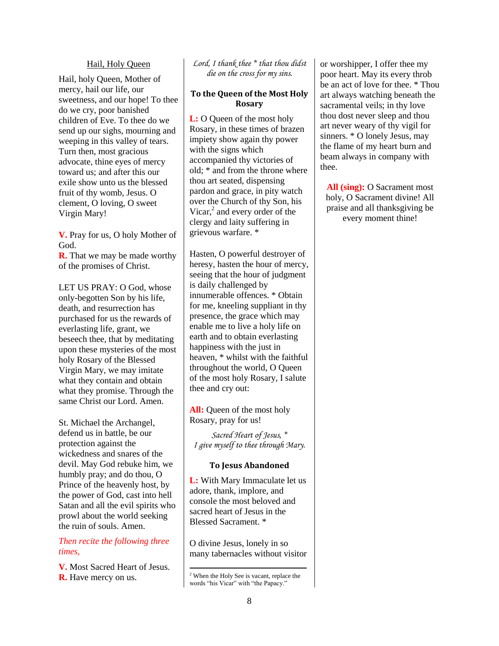#### Hail, Holy Queen

Hail, holy Queen, Mother of mercy, hail our life, our sweetness, and our hope! To thee do we cry, poor banished children of Eve. To thee do we send up our sighs, mourning and weeping in this valley of tears. Turn then, most gracious advocate, thine eyes of mercy toward us; and after this our exile show unto us the blessed fruit of thy womb, Jesus. O clement, O loving, O sweet Virgin Mary!

**V.** Pray for us, O holy Mother of God.

**R.** That we may be made worthy of the promises of Christ.

LET US PRAY: O God, whose only-begotten Son by his life, death, and resurrection has purchased for us the rewards of everlasting life, grant, we beseech thee, that by meditating upon these mysteries of the most holy Rosary of the Blessed Virgin Mary, we may imitate what they contain and obtain what they promise. Through the same Christ our Lord. Amen.

St. Michael the Archangel, defend us in battle, be our protection against the wickedness and snares of the devil. May God rebuke him, we humbly pray; and do thou, O Prince of the heavenly host, by the power of God, cast into hell Satan and all the evil spirits who prowl about the world seeking the ruin of souls. Amen.

## *Then recite the following three times,*

**V.** Most Sacred Heart of Jesus. **R.** Have mercy on us.

#### *Lord, I thank thee \* that thou didst die on the cross for my sins.*

#### **To the Queen of the Most Holy Rosary**

**L:** O Queen of the most holy Rosary, in these times of brazen impiety show again thy power with the signs which accompanied thy victories of old; \* and from the throne where thou art seated, dispensing pardon and grace, in pity watch over the Church of thy Son, his Vicar, $<sup>2</sup>$  and every order of the</sup> clergy and laity suffering in grievous warfare. \*

Hasten, O powerful destroyer of heresy, hasten the hour of mercy, seeing that the hour of judgment is daily challenged by innumerable offences. \* Obtain for me, kneeling suppliant in thy presence, the grace which may enable me to live a holy life on earth and to obtain everlasting happiness with the just in heaven, \* whilst with the faithful throughout the world, O Queen of the most holy Rosary, I salute thee and cry out:

**All:** Queen of the most holy Rosary, pray for us!

*Sacred Heart of Jesus, \* I give myself to thee through Mary.* 

#### **To Jesus Abandoned**

**L:** With Mary Immaculate let us adore, thank, implore, and console the most beloved and sacred heart of Jesus in the Blessed Sacrament. \*

O divine Jesus, lonely in so many tabernacles without visitor

l

or worshipper, I offer thee my poor heart. May its every throb be an act of love for thee. \* Thou art always watching beneath the sacramental veils; in thy love thou dost never sleep and thou art never weary of thy vigil for sinners. \* O lonely Jesus, may the flame of my heart burn and beam always in company with thee.

**All (sing):** O Sacrament most holy, O Sacrament divine! All praise and all thanksgiving be every moment thine!

<sup>2</sup> When the Holy See is vacant, replace the words "his Vicar" with "the Papacy."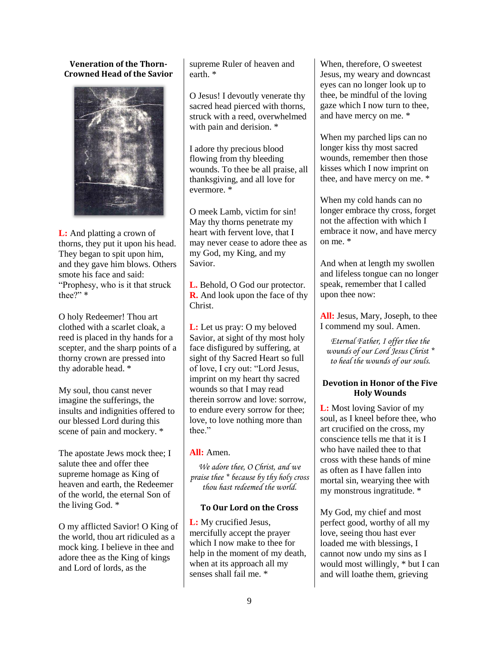**Veneration of the Thorn-Crowned Head of the Savior**



**L:** And platting a crown of thorns, they put it upon his head. They began to spit upon him, and they gave him blows. Others smote his face and said: "Prophesy, who is it that struck thee?" \*

O holy Redeemer! Thou art clothed with a scarlet cloak, a reed is placed in thy hands for a scepter, and the sharp points of a thorny crown are pressed into thy adorable head. \*

My soul, thou canst never imagine the sufferings, the insults and indignities offered to our blessed Lord during this scene of pain and mockery. \*

The apostate Jews mock thee; I salute thee and offer thee supreme homage as King of heaven and earth, the Redeemer of the world, the eternal Son of the living God. \*

O my afflicted Savior! O King of the world, thou art ridiculed as a mock king. I believe in thee and adore thee as the King of kings and Lord of lords, as the

supreme Ruler of heaven and earth. \*

O Jesus! I devoutly venerate thy sacred head pierced with thorns, struck with a reed, overwhelmed with pain and derision. \*

I adore thy precious blood flowing from thy bleeding wounds. To thee be all praise, all thanksgiving, and all love for evermore. \*

O meek Lamb, victim for sin! May thy thorns penetrate my heart with fervent love, that I may never cease to adore thee as my God, my King, and my Savior.

**L.** Behold, O God our protector. **R.** And look upon the face of thy Christ.

**L:** Let us pray: O my beloved Savior, at sight of thy most holy face disfigured by suffering, at sight of thy Sacred Heart so full of love, I cry out: "Lord Jesus, imprint on my heart thy sacred wounds so that I may read therein sorrow and love: sorrow, to endure every sorrow for thee; love, to love nothing more than thee."

## **All:** Amen.

*We adore thee, O Christ, and we praise thee \* because by thy holy cross thou hast redeemed the world.* 

## **To Our Lord on the Cross**

**L:** My crucified Jesus, mercifully accept the prayer which I now make to thee for help in the moment of my death, when at its approach all my senses shall fail me. \*

When, therefore, O sweetest Jesus, my weary and downcast eyes can no longer look up to thee, be mindful of the loving gaze which I now turn to thee, and have mercy on me. \*

When my parched lips can no longer kiss thy most sacred wounds, remember then those kisses which I now imprint on thee, and have mercy on me. \*

When my cold hands can no longer embrace thy cross, forget not the affection with which I embrace it now, and have mercy on me. \*

And when at length my swollen and lifeless tongue can no longer speak, remember that I called upon thee now:

**All:** Jesus, Mary, Joseph, to thee I commend my soul. Amen.

*Eternal Father, I offer thee the wounds of our Lord Jesus Christ \* to heal the wounds of our souls.* 

## **Devotion in Honor of the Five Holy Wounds**

**L:** Most loving Savior of my soul, as I kneel before thee, who art crucified on the cross, my conscience tells me that it is I who have nailed thee to that cross with these hands of mine as often as I have fallen into mortal sin, wearying thee with my monstrous ingratitude. \*

My God, my chief and most perfect good, worthy of all my love, seeing thou hast ever loaded me with blessings, I cannot now undo my sins as I would most willingly, \* but I can and will loathe them, grieving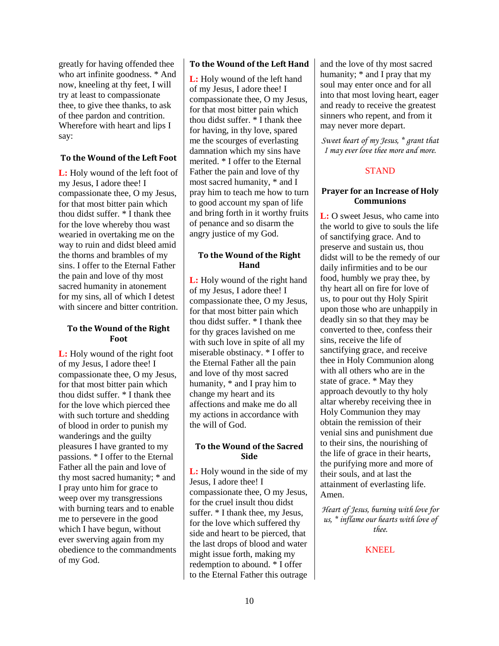greatly for having offended thee who art infinite goodness. \* And now, kneeling at thy feet, I will try at least to compassionate thee, to give thee thanks, to ask of thee pardon and contrition. Wherefore with heart and lips I say:

## **To the Wound of the Left Foot**

**L:** Holy wound of the left foot of my Jesus, I adore thee! I compassionate thee, O my Jesus, for that most bitter pain which thou didst suffer. \* I thank thee for the love whereby thou wast wearied in overtaking me on the way to ruin and didst bleed amid the thorns and brambles of my sins. I offer to the Eternal Father the pain and love of thy most sacred humanity in atonement for my sins, all of which I detest with sincere and bitter contrition.

#### **To the Wound of the Right Foot**

**L:** Holy wound of the right foot of my Jesus, I adore thee! I compassionate thee, O my Jesus, for that most bitter pain which thou didst suffer. \* I thank thee for the love which pierced thee with such torture and shedding of blood in order to punish my wanderings and the guilty pleasures I have granted to my passions. \* I offer to the Eternal Father all the pain and love of thy most sacred humanity; \* and I pray unto him for grace to weep over my transgressions with burning tears and to enable me to persevere in the good which I have begun, without ever swerving again from my obedience to the commandments of my God.

## **To the Wound of the Left Hand**

**L:** Holy wound of the left hand of my Jesus, I adore thee! I compassionate thee, O my Jesus, for that most bitter pain which thou didst suffer. \* I thank thee for having, in thy love, spared me the scourges of everlasting damnation which my sins have merited. \* I offer to the Eternal Father the pain and love of thy most sacred humanity, \* and I pray him to teach me how to turn to good account my span of life and bring forth in it worthy fruits of penance and so disarm the angry justice of my God.

## **To the Wound of the Right Hand**

**L:** Holy wound of the right hand of my Jesus, I adore thee! I compassionate thee, O my Jesus, for that most bitter pain which thou didst suffer. \* I thank thee for thy graces lavished on me with such love in spite of all my miserable obstinacy. \* I offer to the Eternal Father all the pain and love of thy most sacred humanity, \* and I pray him to change my heart and its affections and make me do all my actions in accordance with the will of God.

## **To the Wound of the Sacred Side**

**L:** Holy wound in the side of my Jesus, I adore thee! I compassionate thee, O my Jesus, for the cruel insult thou didst suffer. \* I thank thee, my Jesus, for the love which suffered thy side and heart to be pierced, that the last drops of blood and water might issue forth, making my redemption to abound. \* I offer to the Eternal Father this outrage and the love of thy most sacred humanity; \* and I pray that my soul may enter once and for all into that most loving heart, eager and ready to receive the greatest sinners who repent, and from it may never more depart.

*Sweet heart of my Jesus, \* grant that I may ever love thee more and more.* 

## **STAND**

## **Prayer for an Increase of Holy Communions**

**L:** O sweet Jesus, who came into the world to give to souls the life of sanctifying grace. And to preserve and sustain us, thou didst will to be the remedy of our daily infirmities and to be our food, humbly we pray thee, by thy heart all on fire for love of us, to pour out thy Holy Spirit upon those who are unhappily in deadly sin so that they may be converted to thee, confess their sins, receive the life of sanctifying grace, and receive thee in Holy Communion along with all others who are in the state of grace. \* May they approach devoutly to thy holy altar whereby receiving thee in Holy Communion they may obtain the remission of their venial sins and punishment due to their sins, the nourishing of the life of grace in their hearts, the purifying more and more of their souls, and at last the attainment of everlasting life. Amen.

*Heart of Jesus, burning with love for us, \* inflame our hearts with love of thee.* 

KNEEL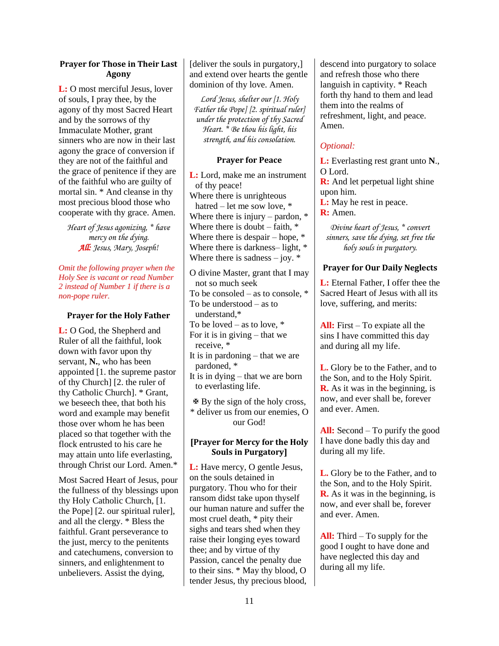## **Prayer for Those in Their Last Agony**

**L:** O most merciful Jesus, lover of souls, I pray thee, by the agony of thy most Sacred Heart and by the sorrows of thy Immaculate Mother, grant sinners who are now in their last agony the grace of conversion if they are not of the faithful and the grace of penitence if they are of the faithful who are guilty of mortal sin. \* And cleanse in thy most precious blood those who cooperate with thy grace. Amen.

*Heart of Jesus agonizing, \* have mercy on the dying. All: Jesus, Mary, Joseph!* 

*Omit the following prayer when the Holy See is vacant or read Number 2 instead of Number 1 if there is a non-pope ruler.*

## **Prayer for the Holy Father**

**L:** O God, the Shepherd and Ruler of all the faithful, look down with favor upon thy servant, **N.**, who has been appointed [1. the supreme pastor of thy Church] [2. the ruler of thy Catholic Church]. \* Grant, we beseech thee, that both his word and example may benefit those over whom he has been placed so that together with the flock entrusted to his care he may attain unto life everlasting, through Christ our Lord. Amen.\*

Most Sacred Heart of Jesus, pour the fullness of thy blessings upon thy Holy Catholic Church, [1. the Pope] [2. our spiritual ruler], and all the clergy. \* Bless the faithful. Grant perseverance to the just, mercy to the penitents and catechumens, conversion to sinners, and enlightenment to unbelievers. Assist the dying,

[deliver the souls in purgatory,] and extend over hearts the gentle dominion of thy love. Amen.

*Lord Jesus, shelter our [1. Holy Father the Pope] [2. spiritual ruler] under the protection of thy Sacred Heart. \* Be thou his light, his strength, and his consolation*.

## **Prayer for Peace**

**L:** Lord, make me an instrument of thy peace! Where there is unrighteous hatred – let me sow love, \* Where there is injury – pardon,  $*$ Where there is doubt  $-$  faith,  $*$ Where there is despair – hope,  $*$ Where there is darkness– light,  $*$ Where there is sadness  $-$  joy.  $*$ 

O divine Master, grant that I may not so much seek To be consoled – as to console, \* To be understood – as to understand,\* To be loved – as to love,  $*$ For it is in giving – that we receive, \* It is in pardoning – that we are pardoned, \* It is in dying – that we are born to everlasting life.

 $\mathbf{\Phi}$  By the sign of the holy cross, \* deliver us from our enemies, O our God!

## **[Prayer for Mercy for the Holy Souls in Purgatory]**

**L:** Have mercy, O gentle Jesus, on the souls detained in purgatory. Thou who for their ransom didst take upon thyself our human nature and suffer the most cruel death, \* pity their sighs and tears shed when they raise their longing eyes toward thee; and by virtue of thy Passion, cancel the penalty due to their sins. \* May thy blood, O tender Jesus, thy precious blood, descend into purgatory to solace and refresh those who there languish in captivity. \* Reach forth thy hand to them and lead them into the realms of refreshment, light, and peace. Amen.

# *Optional:*

**L:** Everlasting rest grant unto **N**., O Lord.

**R:** And let perpetual light shine upon him.

**L:** May he rest in peace.

**R:** Amen.

*Divine heart of Jesus, \* convert sinners, save the dying, set free the holy souls in purgatory.* 

## **Prayer for Our Daily Neglects**

**L:** Eternal Father, I offer thee the Sacred Heart of Jesus with all its love, suffering, and merits:

**All:** First – To expiate all the sins I have committed this day and during all my life.

**L.** Glory be to the Father, and to the Son, and to the Holy Spirit. **R.** As it was in the beginning, is now, and ever shall be, forever and ever. Amen.

**All:** Second – To purify the good I have done badly this day and during all my life.

**L.** Glory be to the Father, and to the Son, and to the Holy Spirit. **R.** As it was in the beginning, is now, and ever shall be, forever and ever. Amen.

**All:** Third – To supply for the good I ought to have done and have neglected this day and during all my life.